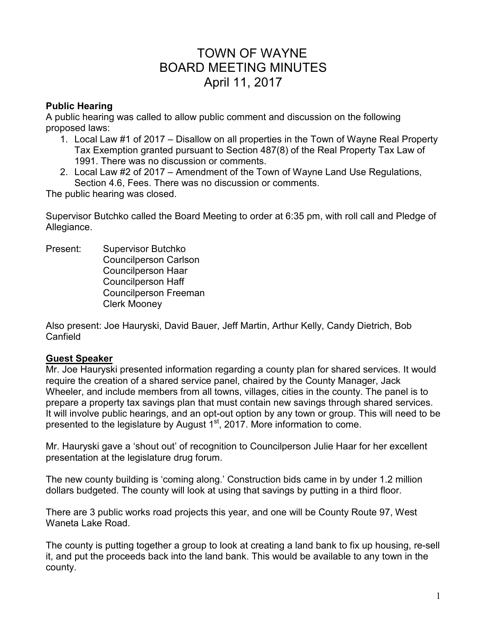# TOWN OF WAYNE BOARD MEETING MINUTES April 11, 2017

### **Public Hearing**

A public hearing was called to allow public comment and discussion on the following proposed laws:

- 1. Local Law #1 of 2017 Disallow on all properties in the Town of Wayne Real Property Tax Exemption granted pursuant to Section 487(8) of the Real Property Tax Law of 1991. There was no discussion or comments.
- 2. Local Law #2 of 2017 Amendment of the Town of Wayne Land Use Regulations, Section 4.6, Fees. There was no discussion or comments.

The public hearing was closed.

Supervisor Butchko called the Board Meeting to order at 6:35 pm, with roll call and Pledge of Allegiance.

Present: Supervisor Butchko Councilperson Carlson Councilperson Haar Councilperson Haff Councilperson Freeman Clerk Mooney

Also present: Joe Hauryski, David Bauer, Jeff Martin, Arthur Kelly, Candy Dietrich, Bob **Canfield** 

#### **Guest Speaker**

Mr. Joe Hauryski presented information regarding a county plan for shared services. It would require the creation of a shared service panel, chaired by the County Manager, Jack Wheeler, and include members from all towns, villages, cities in the county. The panel is to prepare a property tax savings plan that must contain new savings through shared services. It will involve public hearings, and an opt-out option by any town or group. This will need to be presented to the legislature by August 1<sup>st</sup>, 2017. More information to come.

Mr. Hauryski gave a 'shout out' of recognition to Councilperson Julie Haar for her excellent presentation at the legislature drug forum.

The new county building is 'coming along.' Construction bids came in by under 1.2 million dollars budgeted. The county will look at using that savings by putting in a third floor.

There are 3 public works road projects this year, and one will be County Route 97, West Waneta Lake Road.

The county is putting together a group to look at creating a land bank to fix up housing, re-sell it, and put the proceeds back into the land bank. This would be available to any town in the county.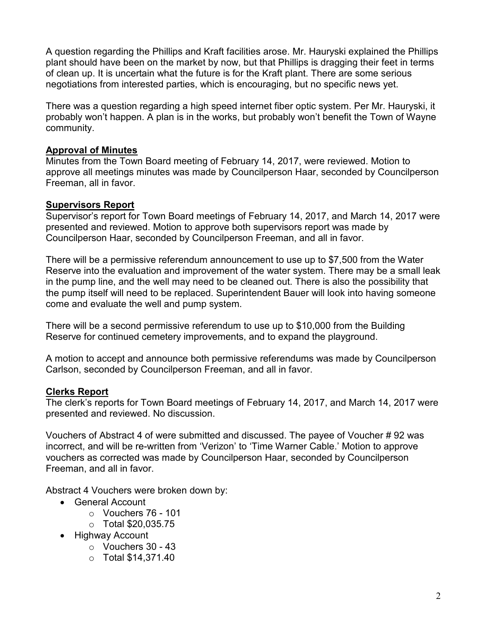A question regarding the Phillips and Kraft facilities arose. Mr. Hauryski explained the Phillips plant should have been on the market by now, but that Phillips is dragging their feet in terms of clean up. It is uncertain what the future is for the Kraft plant. There are some serious negotiations from interested parties, which is encouraging, but no specific news yet.

There was a question regarding a high speed internet fiber optic system. Per Mr. Hauryski, it probably won't happen. A plan is in the works, but probably won't benefit the Town of Wayne community.

#### **Approval of Minutes**

Minutes from the Town Board meeting of February 14, 2017, were reviewed. Motion to approve all meetings minutes was made by Councilperson Haar, seconded by Councilperson Freeman, all in favor.

#### **Supervisors Report**

Supervisor's report for Town Board meetings of February 14, 2017, and March 14, 2017 were presented and reviewed. Motion to approve both supervisors report was made by Councilperson Haar, seconded by Councilperson Freeman, and all in favor.

There will be a permissive referendum announcement to use up to \$7,500 from the Water Reserve into the evaluation and improvement of the water system. There may be a small leak in the pump line, and the well may need to be cleaned out. There is also the possibility that the pump itself will need to be replaced. Superintendent Bauer will look into having someone come and evaluate the well and pump system.

There will be a second permissive referendum to use up to \$10,000 from the Building Reserve for continued cemetery improvements, and to expand the playground.

A motion to accept and announce both permissive referendums was made by Councilperson Carlson, seconded by Councilperson Freeman, and all in favor.

# **Clerks Report**

The clerk's reports for Town Board meetings of February 14, 2017, and March 14, 2017 were presented and reviewed. No discussion.

Vouchers of Abstract 4 of were submitted and discussed. The payee of Voucher # 92 was incorrect, and will be re-written from 'Verizon' to 'Time Warner Cable.' Motion to approve vouchers as corrected was made by Councilperson Haar, seconded by Councilperson Freeman, and all in favor.

Abstract 4 Vouchers were broken down by:

- General Account
	- o Vouchers 76 101
	- o Total \$20,035.75
- Highway Account
	- o Vouchers 30 43
	- o Total \$14,371.40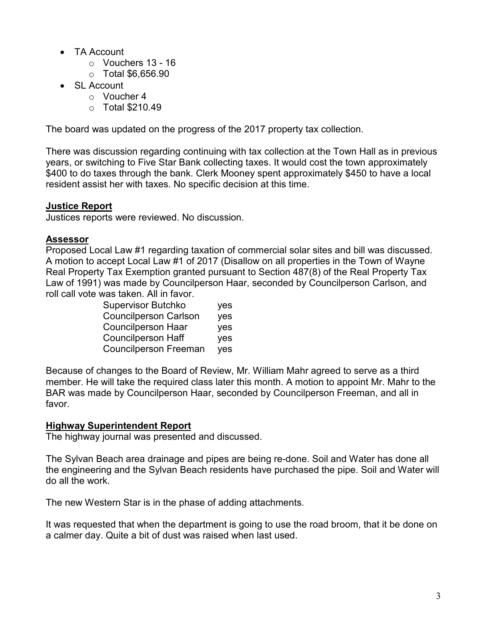- TA Account
	- o Vouchers 13 16
	- $\circ$  Total \$6.656.90
- SL Account
	- o Voucher 4
	- $\circ$  Total \$210.49

The board was updated on the progress of the 2017 property tax collection.

There was discussion regarding continuing with tax collection at the Town Hall as in previous years, or switching to Five Star Bank collecting taxes. It would cost the town approximately \$400 to do taxes through the bank. Clerk Mooney spent approximately \$450 to have a local resident assist her with taxes. No specific decision at this time.

# **Justice Report**

Justices reports were reviewed. No discussion.

#### **Assessor**

Proposed Local Law #1 regarding taxation of commercial solar sites and bill was discussed. A motion to accept Local Law #1 of 2017 (Disallow on all properties in the Town of Wayne Real Property Tax Exemption granted pursuant to Section 487(8) of the Real Property Tax Law of 1991) was made by Councilperson Haar, seconded by Councilperson Carlson, and roll call vote was taken. All in favor.

| <b>Supervisor Butchko</b>    | yes        |
|------------------------------|------------|
| <b>Councilperson Carlson</b> | yes        |
| <b>Councilperson Haar</b>    | <b>ves</b> |
| <b>Councilperson Haff</b>    | yes        |
| <b>Councilperson Freeman</b> | yes        |

Because of changes to the Board of Review, Mr. William Mahr agreed to serve as a third member. He will take the required class later this month. A motion to appoint Mr. Mahr to the BAR was made by Councilperson Haar, seconded by Councilperson Freeman, and all in favor.

# **Highway Superintendent Report**

The highway journal was presented and discussed.

The Sylvan Beach area drainage and pipes are being re-done. Soil and Water has done all the engineering and the Sylvan Beach residents have purchased the pipe. Soil and Water will do all the work.

The new Western Star is in the phase of adding attachments.

It was requested that when the department is going to use the road broom, that it be done on a calmer day. Quite a bit of dust was raised when last used.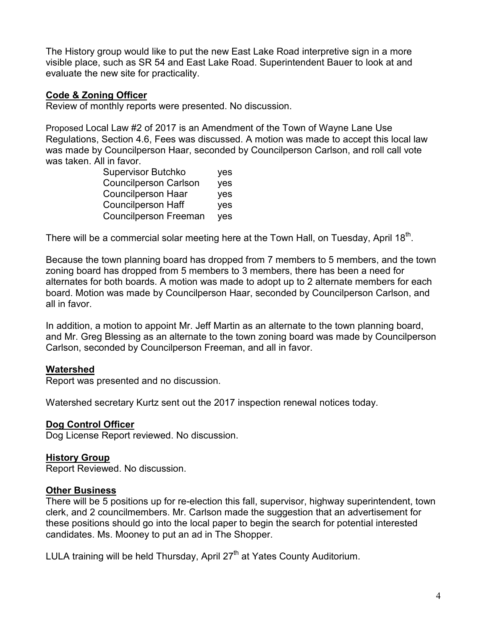The History group would like to put the new East Lake Road interpretive sign in a more visible place, such as SR 54 and East Lake Road. Superintendent Bauer to look at and evaluate the new site for practicality.

#### **Code & Zoning Officer**

Review of monthly reports were presented. No discussion.

Proposed Local Law #2 of 2017 is an Amendment of the Town of Wayne Lane Use Regulations, Section 4.6, Fees was discussed. A motion was made to accept this local law was made by Councilperson Haar, seconded by Councilperson Carlson, and roll call vote was taken. All in favor.

| <b>Supervisor Butchko</b>    | yes |
|------------------------------|-----|
| <b>Councilperson Carlson</b> | yes |
| <b>Councilperson Haar</b>    | yes |
| <b>Councilperson Haff</b>    | yes |
| <b>Councilperson Freeman</b> | yes |

There will be a commercial solar meeting here at the Town Hall, on Tuesday, April 18 $^{\rm th}$ .

Because the town planning board has dropped from 7 members to 5 members, and the town zoning board has dropped from 5 members to 3 members, there has been a need for alternates for both boards. A motion was made to adopt up to 2 alternate members for each board. Motion was made by Councilperson Haar, seconded by Councilperson Carlson, and all in favor.

In addition, a motion to appoint Mr. Jeff Martin as an alternate to the town planning board, and Mr. Greg Blessing as an alternate to the town zoning board was made by Councilperson Carlson, seconded by Councilperson Freeman, and all in favor.

# **Watershed**

Report was presented and no discussion.

Watershed secretary Kurtz sent out the 2017 inspection renewal notices today.

#### **Dog Control Officer**

Dog License Report reviewed. No discussion.

#### **History Group**

Report Reviewed. No discussion.

#### **Other Business**

There will be 5 positions up for re-election this fall, supervisor, highway superintendent, town clerk, and 2 councilmembers. Mr. Carlson made the suggestion that an advertisement for these positions should go into the local paper to begin the search for potential interested candidates. Ms. Mooney to put an ad in The Shopper.

LULA training will be held Thursday, April  $27<sup>th</sup>$  at Yates County Auditorium.